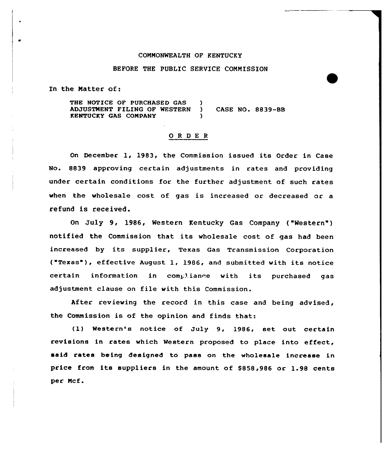## COMMONWEALTH OF KENTUCKY

### BEFORE THE PUBLIC SERVICE COMMISSION

In the Matter of:

THE NOTICE OF PURCHASED GAS ADJUSTMENT FILING OF WESTERN RENTUCRY GAS COMPANY  $\left\{ \right.$ ) ) CASE NO. 8839-BB )

### ORDER

On December 1, 1983, the Commission issued its Order in Case No. 8839 approving certain adjustments in rates and providing under certain conditions for the further adjustment of such rates when the wholesale cost of gas is increased or decreased or a refund is received.

On July 9, 1986, Western Kentucky Gas Company ("Western" ) notified the Commission that its wholesale cost of gas had been increased by its supplier, Texas Gas Transmission Corporation ("Texas" ), effective August 1, 1986, and submitted with its notice certain information in compliance with its purchased gas adjustment clause on file with this Commission.

After reviewing the record in this case and being advised, the Commission is of the opinion and finds that:

(1) Western's notice of July 9, 1986, set out. certain revisions in rates which Western proposed to place into effect, said rates being designed to pass on the wholesale increase in price from its suppliers in the amount of \$858,986 or 1.98 cents per Mcf.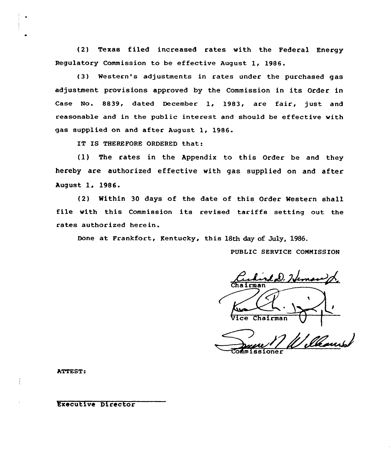(2) Texas filed increased rates with the Federal Energy Regulatory Commission to be effective August 1, 1986.

(3) Western's adjustments in rates under the purchased gas adjustment provisions approved by the Commission in its Order in Case No. 8839, dated December 1, 1983, are fair, just and reasonable and in the public interest and should be effective with gas supplied on and after August 1, 1986.

IT IS THEREFORE ORDERED that:

 $f(1)$  The rates in the Appendix to this Order be and they hereby are authorized effective with gas supplied on and after August 1, 1986.

(2) Within 30 days of the date of this Order Western shall file with this Commission its revised tariffs setting out the rates authorized herein.

Done at Frankfort, Kentucky, this 18th day of July, 1986.

PUBLIC SERVICE CONMISS ION

LD. Heman p. Cha irman Chairman

ner

ATTEST:

Executive Director